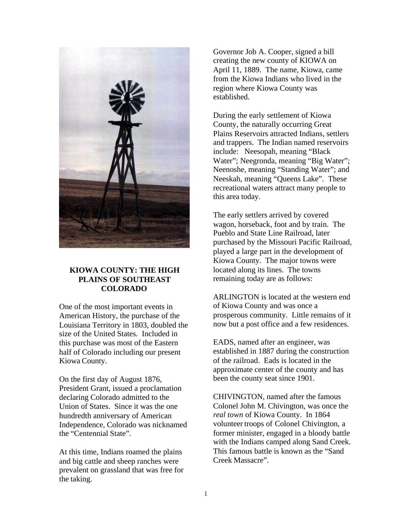

# **KIOWA COUNTY: THE HIGH PLAINS OF SOUTHEAST COLORADO**

One of the most important events in American History, the purchase of the Louisiana Territory in 1803, doubled the size of the United States. Included in this purchase was most of the Eastern half of Colorado including our present Kiowa County.

On the first day of August 1876, President Grant, issued a proclamation declaring Colorado admitted to the Union of States. Since it was the one hundredth anniversary of American Independence, Colorado was nicknamed the "Centennial State".

At this time, Indians roamed the plains and big cattle and sheep ranches were prevalent on grassland that was free for the taking.

Governor Job A. Cooper, signed a bill creating the new county of KIOWA on April 11, 1889. The name, Kiowa, came from the Kiowa Indians who lived in the region where Kiowa County was established.

During the early settlement of Kiowa County, the naturally occurring Great Plains Reservoirs attracted Indians, settlers and trappers. The Indian named reservoirs include: Neesopah, meaning "Black Water"; Neegronda, meaning "Big Water"; Neenoshe, meaning "Standing Water"; and Neeskah, meaning "Queens Lake". These recreational waters attract many people to this area today.

The early settlers arrived by covered wagon, horseback, foot and by train. The Pueblo and State Line Railroad, later purchased by the Missouri Pacific Railroad, played a large part in the development of Kiowa County. The major towns were located along its lines. The towns remaining today are as follows:

ARLINGTON is located at the western end of Kiowa County and was once a prosperous community. Little remains of it now but a post office and a few residences.

EADS, named after an engineer, was established in 1887 during the construction of the railroad. Eads is located in the approximate center of the county and has been the county seat since 1901.

CHIVINGTON, named after the famous Colonel John M. Chivington, was once the *real town* of Kiowa County. In 1864 volunteer troops of Colonel Chivington, a former minister, engaged in a bloody battle with the Indians camped along Sand Creek. This famous battle is known as the "Sand Creek Massacre".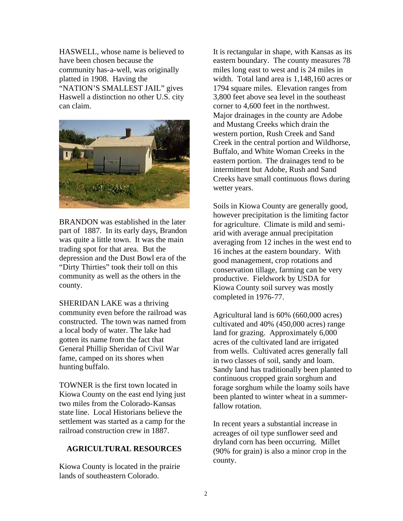HASWELL, whose name is believed to have been chosen because the community has-a-well, was originally platted in 1908. Having the "NATION'S SMALLEST JAIL" gives Haswell a distinction no other U.S. city can claim.



BRANDON was established in the later part of 1887. In its early days, Brandon was quite a little town. It was the main trading spot for that area. But the depression and the Dust Bowl era of the "Dirty Thirties" took their toll on this community as well as the others in the county.

SHERIDAN LAKE was a thriving community even before the railroad was constructed. The town was named from a local body of water. The lake had gotten its name from the fact that General Phillip Sheridan of Civil War fame, camped on its shores when hunting buffalo.

TOWNER is the first town located in Kiowa County on the east end lying just two miles from the Colorado-Kansas state line. Local Historians believe the settlement was started as a camp for the railroad construction crew in 1887.

# **AGRICULTURAL RESOURCES**

Kiowa County is located in the prairie lands of southeastern Colorado.

It is rectangular in shape, with Kansas as its eastern boundary. The county measures 78 miles long east to west and is 24 miles in width. Total land area is 1,148,160 acres or 1794 square miles. Elevation ranges from 3,800 feet above sea level in the southeast corner to 4,600 feet in the northwest. Major drainages in the county are Adobe and Mustang Creeks which drain the western portion, Rush Creek and Sand Creek in the central portion and Wildhorse, Buffalo, and White Woman Creeks in the eastern portion. The drainages tend to be intermittent but Adobe, Rush and Sand Creeks have small continuous flows during wetter years.

Soils in Kiowa County are generally good, however precipitation is the limiting factor for agriculture. Climate is mild and semiarid with average annual precipitation averaging from 12 inches in the west end to 16 inches at the eastern boundary. With good management, crop rotations and conservation tillage, farming can be very productive. Fieldwork by USDA for Kiowa County soil survey was mostly completed in 1976-77.

Agricultural land is 60% (660,000 acres) cultivated and 40% (450,000 acres) range land for grazing. Approximately 6,000 acres of the cultivated land are irrigated from wells. Cultivated acres generally fall in two classes of soil, sandy and loam. Sandy land has traditionally been planted to continuous cropped grain sorghum and forage sorghum while the loamy soils have been planted to winter wheat in a summerfallow rotation.

In recent years a substantial increase in acreages of oil type sunflower seed and dryland corn has been occurring. Millet (90% for grain) is also a minor crop in the county.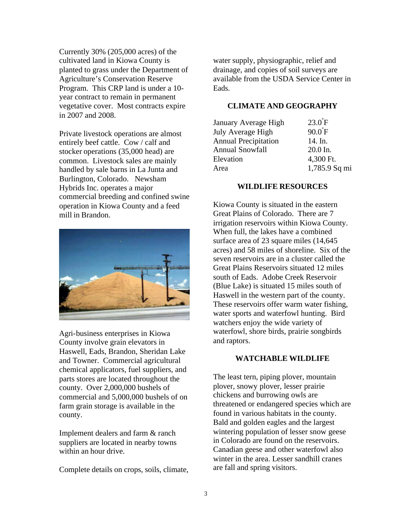Currently 30% (205,000 acres) of the cultivated land in Kiowa County is planted to grass under the Department of Agriculture's Conservation Reserve Program. This CRP land is under a 10 year contract to remain in permanent vegetative cover. Most contracts expire in 2007 and 2008.

Private livestock operations are almost entirely beef cattle. Cow / calf and stocker operations (35,000 head) are common. Livestock sales are mainly handled by sale barns in La Junta and Burlington, Colorado. Newsham Hybrids Inc. operates a major commercial breeding and confined swine operation in Kiowa County and a feed mill in Brandon.



Agri-business enterprises in Kiowa County involve grain elevators in Haswell, Eads, Brandon, Sheridan Lake and Towner. Commercial agricultural chemical applicators, fuel suppliers, and parts stores are located throughout the county. Over 2,000,000 bushels of commercial and 5,000,000 bushels of on farm grain storage is available in the county.

Implement dealers and farm & ranch suppliers are located in nearby towns within an hour drive.

Complete details on crops, soils, climate,

water supply, physiographic, relief and drainage, and copies of soil surveys are available from the USDA Service Center in Eads.

# **CLIMATE AND GEOGRAPHY**

| $23.0$ $F$       |
|------------------|
| $90.0^{\circ}$ F |
| 14. In.          |
| $20.0$ In.       |
| 4,300 Ft.        |
| 1,785.9 Sq mi    |
|                  |

#### **WILDLIFE RESOURCES**

Kiowa County is situated in the eastern Great Plains of Colorado. There are 7 irrigation reservoirs within Kiowa County. When full, the lakes have a combined surface area of 23 square miles  $(14, 645)$ acres) and 58 miles of shoreline. Six of the seven reservoirs are in a cluster called the Great Plains Reservoirs situated 12 miles south of Eads. Adobe Creek Reservoir (Blue Lake) is situated 15 miles south of Haswell in the western part of the county. These reservoirs offer warm water fishing, water sports and waterfowl hunting. Bird watchers enjoy the wide variety of waterfowl, shore birds, prairie songbirds and raptors.

#### **WATCHABLE WILDLIFE**

The least tern, piping plover, mountain plover, snowy plover, lesser prairie chickens and burrowing owls are threatened or endangered species which are found in various habitats in the county. Bald and golden eagles and the largest wintering population of lesser snow geese in Colorado are found on the reservoirs. Canadian geese and other waterfowl also winter in the area. Lesser sandhill cranes are fall and spring visitors.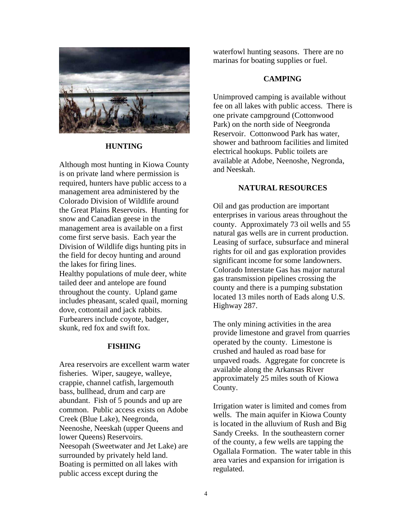

#### **HUNTING**

Although most hunting in Kiowa County is on private land where permission is required, hunters have public access to a management area administered by the Colorado Division of Wildlife around the Great Plains Reservoirs. Hunting for snow and Canadian geese in the management area is available on a first come first serve basis. Each year the Division of Wildlife digs hunting pits in the field for decoy hunting and around the lakes for firing lines. Healthy populations of mule deer, white tailed deer and antelope are found throughout the county. Upland game includes pheasant, scaled quail, morning dove, cottontail and jack rabbits. Furbearers include coyote, badger, skunk, red fox and swift fox.

#### **FISHING**

Area reservoirs are excellent warm water fisheries. Wiper, saugeye, walleye, crappie, channel catfish, largemouth bass, bullhead, drum and carp are abundant. Fish of 5 pounds and up are common. Public access exists on Adobe Creek (Blue Lake), Neegronda, Neenoshe, Neeskah (upper Queens and lower Queens) Reservoirs. Neesopah (Sweetwater and Jet Lake) are surrounded by privately held land. Boating is permitted on all lakes with public access except during the

waterfowl hunting seasons. There are no marinas for boating supplies or fuel.

#### **CAMPING**

Unimproved camping is available without fee on all lakes with public access. There is one private campground (Cottonwood Park) on the north side of Neegronda Reservoir. Cottonwood Park has water, shower and bathroom facilities and limited electrical hookups. Public toilets are available at Adobe, Neenoshe, Negronda, and Neeskah.

#### **NATURAL RESOURCES**

Oil and gas production are important enterprises in various areas throughout the county. Approximately 73 oil wells and 55 natural gas wells are in current production. Leasing of surface, subsurface and mineral rights for oil and gas exploration provides significant income for some landowners. Colorado Interstate Gas has major natural gas transmission pipelines crossing the county and there is a pumping substation located 13 miles north of Eads along U.S. Highway 287.

The only mining activities in the area provide limestone and gravel from quarries operated by the county. Limestone is crushed and hauled as road base for unpaved roads. Aggregate for concrete is available along the Arkansas River approximately 25 miles south of Kiowa County.

Irrigation water is limited and comes from wells. The main aquifer in Kiowa County is located in the alluvium of Rush and Big Sandy Creeks. In the southeastern corner of the county, a few wells are tapping the Ogallala Formation. The water table in this area varies and expansion for irrigation is regulated.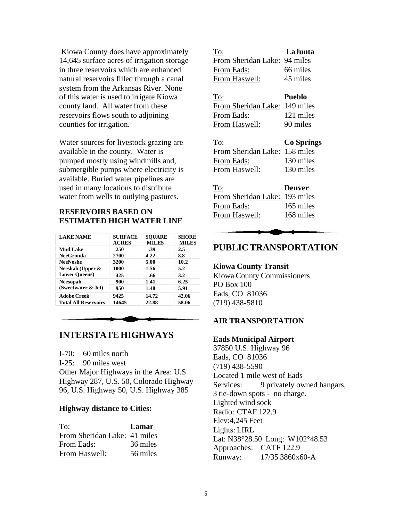Kiowa County does have approximately 14,645 surface acres of irrigation storage in three reservoirs which are enhanced natural reservoirs filled through a canal system from the Arkansas River. None of this water is used to irrigate Kiowa county land. All water from these reservoirs flows south to adjoining counties for irrigation.

Water sources for livestock grazing are available in the county. Water is pumped mostly using windmills and, submergible pumps where electricity is available. Buried water pipelines are used in many locations to distribute water from wells to outlying pastures.

# **RESERVOIRS BASED ON ESTIMATED HIGH WATER LINE**

| <b>LAKE NAME</b>            | <b>SURFACE</b><br><b>ACRES</b> | <b>SOUARE</b><br><b>MILES</b> | <b>SHORE</b><br><b>MILES</b> |
|-----------------------------|--------------------------------|-------------------------------|------------------------------|
| <b>Mud Lake</b>             | 250                            | .39                           | 2.5                          |
| <b>NeeGronda</b>            | 2700                           | 4.22                          | 8.8                          |
| <b>NeeNoshe</b>             | 3200                           | 5.00                          | 10.2                         |
| Neeskah (Upper &            | 1000                           | 1.56                          | 5.2                          |
| <b>Lower Queens)</b>        | 425                            | .66                           | 3.2                          |
| <b>Neesopah</b>             | 900                            | 1.41                          | 6.25                         |
| (Sweetwater & Jet)          | 950                            | 1.48                          | 5.91                         |
| <b>Adobe Creek</b>          | 9425                           | 14.72                         | 42.06                        |
| <b>Total All Reservoirs</b> | 14645                          | 22.88                         | 58.06                        |

# **INTERSTATE HIGHWAYS**

I-70: 60 miles north

I-25: 90 miles west

Other Major Highways in the Area: U.S. Highway 287, U.S. 50, Colorado Highway 96, U.S. Highway 50, U.S. Highway 385

#### **Highway distance to Cities:**

| To:                          | Lamar    |
|------------------------------|----------|
| From Sheridan Lake: 41 miles |          |
| From Eads:                   | 36 miles |
| From Haswell:                | 56 miles |

| To:                          | LaJunta  |
|------------------------------|----------|
| From Sheridan Lake: 94 miles |          |
| From Eads:                   | 66 miles |
| From Haswell:                | 45 miles |

| To:                           | <b>Pueblo</b> |
|-------------------------------|---------------|
| From Sheridan Lake: 149 miles |               |
| From Eads:                    | 121 miles     |
| From Haswell:                 | 90 miles      |

| To:                           | <b>Co Springs</b> |
|-------------------------------|-------------------|
| From Sheridan Lake: 158 miles |                   |
| From Eads:                    | 130 miles         |
| From Haswell:                 | 130 miles         |
|                               |                   |

| To:                           | <b>Denver</b> |
|-------------------------------|---------------|
| From Sheridan Lake: 193 miles |               |
| From Eads:                    | 165 miles     |
| From Haswell:                 | 168 miles     |
|                               |               |

# **PUBLIC TRANSPORTATION**

#### **Kiowa County Transit**

Kiowa County Commissioners PO Box 100 Eads, CO 81036 (719) 438-5810

## **AIR TRANSPORTATION**

#### **Eads Municipal Airport**

37850 U.S. Highway 96 Eads, CO 81036 (719) 438-5590 Located 1 mile west of Eads Services: 9 privately owned hangars, 3 tie-down spots - no charge. Lighted wind sock Radio: CTAF 122.9 Elev:4,245 Feet Lights: LIRL Lat: N38°28.50 Long: W102°48.53 Approaches: CATF 122.9 Runway: 17/35 3860x60-A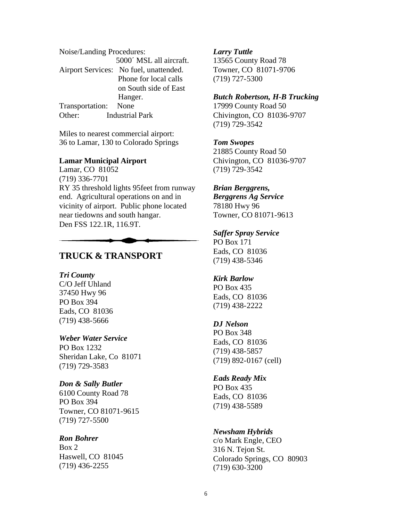| Noise/Landing Procedures: |                                        |
|---------------------------|----------------------------------------|
|                           | 5000 MSL all aircraft.                 |
|                           | Airport Services: No fuel, unattended. |
|                           | Phone for local calls                  |
|                           | on South side of East                  |
|                           | Hanger.                                |
| Transportation: None      |                                        |
| Other:                    | <b>Industrial Park</b>                 |

Miles to nearest commercial airport: 36 to Lamar, 130 to Colorado Springs

#### **Lamar Municipal Airport**

Lamar, CO 81052 (719) 336-7701 RY 35 threshold lights 95feet from runway end. Agricultural operations on and in vicinity of airport. Public phone located near tiedowns and south hangar. Den FSS 122.1R, 116.9T.

# **TRUCK & TRANSPORT**

#### *Tri County*

C/O Jeff Uhland 37450 Hwy 96 PO Box 394 Eads, CO 81036 (719) 438-5666

#### *Weber Water Service*

PO Box 1232 Sheridan Lake, Co 81071 (719) 729-3583

## *Don & Sally Butler*

6100 County Road 78 PO Box 394 Towner, CO 81071-9615 (719) 727-5500

# *Ron Bohrer*

Box 2 Haswell, CO 81045 (719) 436-2255

#### *Larry Tuttle*

13565 County Road 78 Towner, CO 81071-9706 (719) 727-5300

## *Butch Robertson, H-B Trucking*

17999 County Road 50 Chivington, CO 81036-9707 (719) 729-3542

#### *Tom Swopes*

21885 County Road 50 Chivington, CO 81036-9707 (719) 729-3542

## *Brian Berggrens,*

*Berggrens Ag Service* 78180 Hwy 96 Towner, CO 81071-9613

# *Saffer Spray Service*

PO Box 171 Eads, CO 81036 (719) 438-5346

#### *Kirk Barlow*

PO Box 435 Eads, CO 81036 (719) 438-2222

#### *DJ Nelson*

PO Box 348 Eads, CO 81036 (719) 438-5857 (719) 892-0167 (cell)

#### *Eads Ready Mix*

PO Box 435 Eads, CO 81036 (719) 438-5589

#### *Newsham Hybrids*

c/o Mark Engle, CEO 316 N. Tejon St. Colorado Springs, CO 80903 (719) 630-3200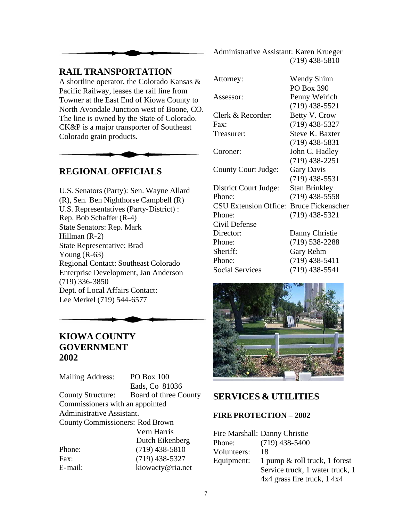

Administrative Assistant: Karen Krueger (719) 438-5810

# **RAIL TRANSPORTATION**

A shortline operator, the Colorado Kansas & Pacific Railway, leases the rail line from Towner at the East End of Kiowa County to North Avondale Junction west of Boone, CO. The line is owned by the State of Colorado. CK&P is a major transporter of Southeast Colorado grain products.

# **REGIONAL OFFICIALS**

U.S. Senators (Party): Sen. Wayne Allard (R), Sen. Ben Nighthorse Campbell (R) U.S. Representatives (Party-District) : Rep. Bob Schaffer (R-4) State Senators: Rep. Mark Hillman (R-2) State Representative: Brad Young  $(R-63)$ Regional Contact: Southeast Colorado Enterprise Development, Jan Anderson (719) 336-3850 Dept. of Local Affairs Contact: Lee Merkel (719) 544-6577

# **KIOWA COUNTY GOVERNMENT 2002**

Mailing Address: PO Box 100 Eads, Co 81036 County Structure: Board of three County Commissioners with an appointed Administrative Assistant. County Commissioners: Rod Brown Vern Harris Dutch Eikenberg Phone: (719) 438-5810 Fax: (719) 438-5327 E-mail: kiowacty@ria.net

| Attorney:                    | <b>Wendy Shinn</b>       |
|------------------------------|--------------------------|
|                              | PO Box 390               |
| Assessor:                    | Penny Weirich            |
|                              | $(719)$ 438-5521         |
| Clerk & Recorder:            | Betty V. Crow            |
| Fax:                         | $(719)$ 438-5327         |
| Treasurer:                   | <b>Steve K. Baxter</b>   |
|                              | $(719)$ 438-5831         |
| Coroner:                     | John C. Hadley           |
|                              | $(719)$ 438-2251         |
| County Court Judge:          | <b>Gary Davis</b>        |
|                              | $(719)$ 438-5531         |
| District Court Judge:        | <b>Stan Brinkley</b>     |
| Phone:                       | $(719)$ 438-5558         |
| <b>CSU Extension Office:</b> | <b>Bruce Fickenscher</b> |
| Phone:                       | $(719)$ 438-5321         |
| Civil Defense                |                          |
| Director:                    | Danny Christie           |
| Phone:                       | (719) 538-2288           |
| Sheriff:                     | Gary Rehm                |
| Phone:                       | $(719)$ 438-5411         |
| <b>Social Services</b>       | $(719)$ 438-5541         |



# **SERVICES & UTILITIES**

# **FIRE PROTECTION – 2002**

|             | Fire Marshall: Danny Christie   |
|-------------|---------------------------------|
| Phone:      | $(719)$ 438-5400                |
| Volunteers: | 18                              |
| Equipment:  | 1 pump & roll truck, 1 forest   |
|             | Service truck, 1 water truck, 1 |
|             | $4x4$ grass fire truck, 1 $4x4$ |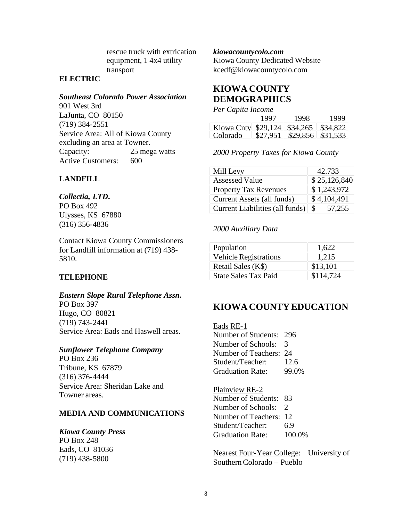rescue truck with extrication equipment, 1 4x4 utility transport

# **ELECTRIC**

## *Southeast Colorado Power Association*

901 West 3rd LaJunta, CO 80150 (719) 384-2551 Service Area: All of Kiowa County excluding an area at Towner. Capacity: 25 mega watts Active Customers: 600

# **LANDFILL**

#### *Collectia, LTD***.**

PO Box 492 Ulysses, KS 67880 (316) 356-4836

Contact Kiowa County Commissioners for Landfill information at (719) 438- 5810.

## **TELEPHONE**

## *Eastern Slope Rural Telephone Assn.*

PO Box 397 Hugo, CO 80821 (719) 743-2441 Service Area: Eads and Haswell areas.

## *Sunflower Telephone Company*

PO Box 236 Tribune, KS 67879 (316) 376-4444 Service Area: Sheridan Lake and Towner areas.

## **MEDIA AND COMMUNICATIONS**

## *Kiowa County Press*

PO Box 248 Eads, CO 81036 (719) 438-5800

*kiowacountycolo.com*

Kiowa County Dedicated Website kcedf@kiowacountycolo.com

# **KIOWA COUNTY DEMOGRAPHICS**

|  | Per Capita Income |  |
|--|-------------------|--|
|  | $100-$            |  |

|          | 1997 | 1998. | 1999                           |
|----------|------|-------|--------------------------------|
|          |      |       |                                |
| Colorado |      |       | \$27,951   \$29,856   \$31,533 |

*2000 Property Taxes for Kiowa County*

| Mill Levy                       | 42.733        |
|---------------------------------|---------------|
| <b>Assessed Value</b>           | \$25,126,840  |
| <b>Property Tax Revenues</b>    | \$1,243,972   |
| Current Assets (all funds)      | \$4,104,491   |
| Current Liabilities (all funds) | 57,255<br>-\$ |

## *2000 Auxiliary Data*

| Population                   | 1,622     |
|------------------------------|-----------|
| <b>Vehicle Registrations</b> | 1,215     |
| Retail Sales (K\$)           | \$13,101  |
| <b>State Sales Tax Paid</b>  | \$114,724 |

# **KIOWA COUNTY EDUCATION**

Eads RE-1 Number of Students: 296 Number of Schools: 3 Number of Teachers: 24 Student/Teacher: 12.6 Graduation Rate: 99.0%

Plainview RE-2 Number of Students: 83 Number of Schools: 2 Number of Teachers: 12 Student/Teacher: 6.9 Graduation Rate: 100.0%

Nearest Four-Year College: University of Southern Colorado – Pueblo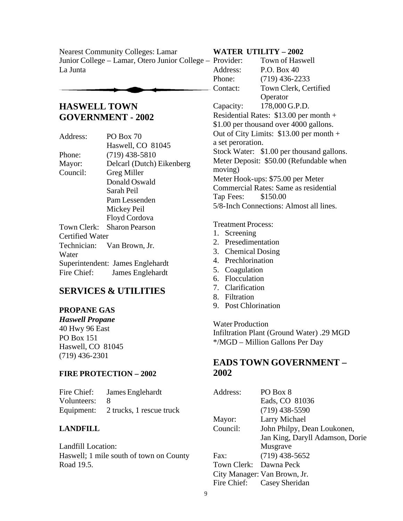Nearest Community Colleges: Lamar Junior College – Lamar, Otero Junior College – La Junta

# **HASWELL TOWN GOVERNMENT - 2002**

Address: PO Box 70 Haswell, CO 81045 Phone: (719) 438-5810 Mayor: Delcarl (Dutch) Eikenberg Council: Greg Miller Donald Oswald Sarah Peil Pam Lessenden Mickey Peil Floyd Cordova Town Clerk: Sharon Pearson Certified Water Technician: Van Brown, Jr. Water Superintendent: James Englehardt Fire Chief: James Englehardt

# **SERVICES & UTILITIES**

# **PROPANE GAS**

*Haswell Propane*  40 Hwy 96 East PO Box 151 Haswell, CO 81045 (719) 436-2301

# **FIRE PROTECTION – 2002**

Fire Chief: James Englehardt Volunteers: 8 Equipment: 2 trucks, 1 rescue truck

# **LANDFILL**

Landfill Location: Haswell; 1 mile south of town on County Road 19.5.

# **WATER UTILITY – 2002**

| <b>Town of Haswell</b>                    |
|-------------------------------------------|
| $P.O.$ Box 40                             |
| $(719)$ 436-2233                          |
| Town Clerk, Certified                     |
| Operator                                  |
| 178,000 G.P.D.                            |
| Residential Rates: \$13.00 per month +    |
| \$1.00 per thousand over 4000 gallons.    |
| Out of City Limits: $$13.00$ per month +  |
| a set peroration.                         |
| Stock Water: \$1.00 per thousand gallons. |
| Meter Deposit: \$50.00 (Refundable when   |
|                                           |
| Meter Hook-ups: \$75.00 per Meter         |
| Commercial Rates: Same as residential     |
| \$150.00                                  |
| 5/8-Inch Connections: Almost all lines.   |
| Tap Fees:                                 |

Treatment Process:

- 1. Screening
- 2. Presedimentation
- 3. Chemical Dosing
- 4. Prechlorination
- 5. Coagulation
- 6. Flocculation
- 7. Clarification
- 8. Filtration
- 9. Post Chlorination

Water Production Infiltration Plant (Ground Water) .29 MGD \*/MGD – Million Gallons Per Day

# **EADS TOWN GOVERNMENT – 2002**

| Address:               | PO Box 8                        |
|------------------------|---------------------------------|
|                        | Eads, CO 81036                  |
|                        | $(719)$ 438-5590                |
| Mayor:                 | Larry Michael                   |
| Council:               | John Philpy, Dean Loukonen,     |
|                        | Jan King, Daryll Adamson, Dorie |
|                        | Musgrave                        |
| Fax:                   | $(719)$ 438-5652                |
| Town Clerk: Dawna Peck |                                 |
|                        | City Manager: Van Brown, Jr.    |
|                        | Fire Chief: Casey Sheridan      |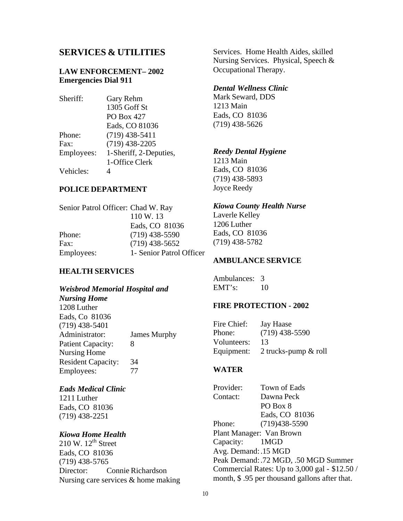# **SERVICES & UTILITIES**

# **LAW ENFORCEMENT– 2002 Emergencies Dial 911**

| Sheriff:   | Gary Rehm              |
|------------|------------------------|
|            | 1305 Goff St           |
|            | <b>PO Box 427</b>      |
|            | Eads, CO 81036         |
| Phone:     | $(719)$ 438-5411       |
| Fax:       | $(719)$ 438-2205       |
| Employees: | 1-Sheriff, 2-Deputies, |
|            | 1-Office Clerk         |
| Vehicles:  |                        |

# **POLICE DEPARTMENT**

| Senior Patrol Officer: Chad W. Ray |
|------------------------------------|
| 110 W.13                           |
| Eads, CO 81036                     |
| $(719)$ 438-5590                   |
| $(719)$ 438-5652                   |
| 1- Senior Patrol Officer           |
|                                    |

## **HEALTH SERVICES**

#### *Weisbrod Memorial Hospital and*

# *Nursing Home*

1208 Luther Eads, Co 81036 (719) 438-5401 Administrator: James Murphy Patient Capacity: 8 Nursing Home Resident Capacity: 34 Employees: 77

#### *Eads Medical Clinic*

1211 Luther Eads, CO 81036 (719) 438-2251

# *Kiowa Home Health*

 $210 \text{ W}$ .  $12^{\text{th}}$  Street Eads, CO 81036 (719) 438-5765 Director: Connie Richardson Nursing care services & home making Services. Home Health Aides, skilled Nursing Services. Physical, Speech & Occupational Therapy.

#### *Dental Wellness Clinic*

Mark Seward, DDS 1213 Main Eads, CO 81036 (719) 438-5626

## *Reedy Dental Hygiene*

1213 Main Eads, CO 81036 (719) 438-5893 Joyce Reedy

#### *Kiowa County Health Nurse*

Laverle Kelley 1206 Luther Eads, CO 81036 (719) 438-5782

#### **AMBULANCE SERVICE**

Ambulances: 3 EMT's: 10

#### **FIRE PROTECTION - 2002**

| Fire Chief: | Jay Haase               |
|-------------|-------------------------|
| Phone:      | $(719)$ 438-5590        |
| Volunteers: | 13                      |
| Equipment:  | 2 trucks-pump $\&$ roll |

#### **WATER**

Provider: Town of Eads Contact: Dawna Peck PO Box 8 Eads, CO 81036 Phone: (719)438-5590 Plant Manager: Van Brown Capacity: 1MGD Avg. Demand:.15 MGD Peak Demand:.72 MGD, .50 MGD Summer Commercial Rates: Up to 3,000 gal - \$12.50 / month, \$ .95 per thousand gallons after that.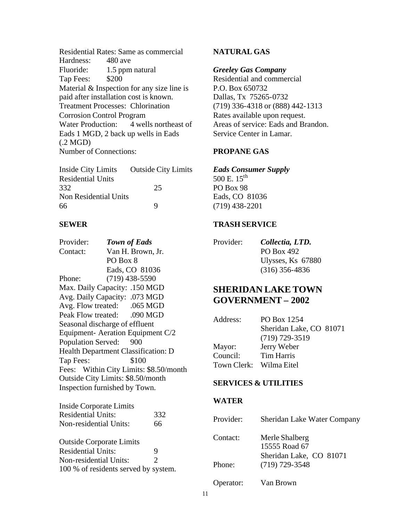Residential Rates: Same as commercial Hardness: Fluoride: 1.5 ppm natural Tap Fees: \$200 Material & Inspection for any size line is paid after installation cost is known. Treatment Processes: Chlorination Corrosion Control Program Water Production: 4 wells northeast of Eads 1 MGD, 2 back up wells in Eads (.2 MGD) Number of Connections:

| Inside City Limits           | <b>Outside City Limits</b> |
|------------------------------|----------------------------|
| <b>Residential Units</b>     |                            |
| 332                          | 25                         |
| <b>Non Residential Units</b> |                            |
| 66                           | Q                          |

# **SEWER**

| Provider:              | <b>Town of Eads</b>                    |
|------------------------|----------------------------------------|
| Contact:               | Van H. Brown, Jr.                      |
|                        | PO Box 8                               |
|                        | Eads, CO 81036                         |
| Phone:                 | $(719)$ 438-5590                       |
|                        | Max. Daily Capacity: .150 MGD          |
|                        | Avg. Daily Capacity: .073 MGD          |
|                        | Avg. Flow treated: .065 MGD            |
|                        | Peak Flow treated: .090 MGD            |
|                        | Seasonal discharge of effluent         |
|                        | Equipment-Aeration Equipment C/2       |
| Population Served: 900 |                                        |
|                        | Health Department Classification: D    |
| Tap Fees:              | \$100                                  |
|                        | Fees: Within City Limits: \$8.50/month |
|                        | Outside City Limits: \$8.50/month      |
|                        | Inspection furnished by Town.          |
|                        |                                        |

| Inside Corporate Limits         |     |
|---------------------------------|-----|
| <b>Residential Units:</b>       | 332 |
| Non-residential Units:          | 66  |
| <b>Outside Corporate Limits</b> |     |

| <b>Residential Units:</b>            | 9 |
|--------------------------------------|---|
| Non-residential Units:               |   |
| 100 % of residents served by system. |   |

# **NATURAL GAS**

#### *Greeley Gas Company*

Residential and commercial P.O. Box 650732 Dallas, Tx 75265-0732 (719) 336-4318 or (888) 442-1313 Rates available upon request. Areas of service: Eads and Brandon. Service Center in Lamar.

## **PROPANE GAS**

# *Eads Consumer Supply*

500 E.  $15^{th}$ PO Box 98 Eads, CO 81036 (719) 438-2201

# **TRASH SERVICE**

| Provider: | Collectia, LTD.   |
|-----------|-------------------|
|           | PO Box 492        |
|           | Ulysses, Ks 67880 |
|           | $(316)$ 356-4836  |

# **SHERIDAN LAKE TOWN GOVERNMENT – 2002**

| Address:                | PO Box 1254             |
|-------------------------|-------------------------|
|                         | Sheridan Lake, CO 81071 |
|                         | $(719)$ 729-3519        |
| Mayor:                  | Jerry Weber             |
| Council:                | Tim Harris              |
| Town Clerk: Wilma Eitel |                         |

#### **SERVICES & UTILITIES**

#### **WATER**

| Provider: | Sheridan Lake Water Company                 |
|-----------|---------------------------------------------|
| Contact:  | Merle Shalberg<br>15555 Road 67             |
| Phone:    | Sheridan Lake, CO 81071<br>$(719)$ 729-3548 |
| Operator: | Van Brown                                   |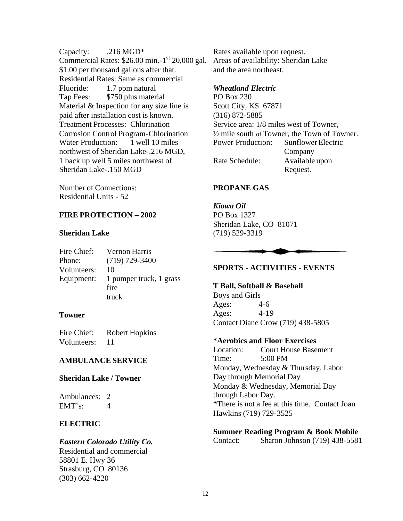Capacity: .216 MGD<sup>\*</sup> Commercial Rates: \$26.00 min.-1 st 20,000 gal. \$1.00 per thousand gallons after that. Residential Rates: Same as commercial Fluoride: 1.7 ppm natural Tap Fees: \$750 plus material Material & Inspection for any size line is paid after installation cost is known. Treatment Processes: Chlorination Corrosion Control Program-Chlorination Water Production: 1 well 10 miles northwest of Sheridan Lake-.216 MGD, 1 back up well 5 miles northwest of Sheridan Lake-.150 MGD

Number of Connections: Residential Units - 52

# **FIRE PROTECTION – 2002**

#### **Sheridan Lake**

| Fire Chief: | Vernon Harris           |
|-------------|-------------------------|
| Phone:      | $(719)$ 729-3400        |
| Volunteers: | 10                      |
| Equipment:  | 1 pumper truck, 1 grass |
|             | fire                    |
|             | truck                   |

## **Towner**

| Fire Chief: | <b>Robert Hopkins</b> |
|-------------|-----------------------|
| Volunteers: | 11                    |

# **AMBULANCE SERVICE**

## **Sheridan Lake / Towner**

Ambulances: 2  $EMT's: 4$ 

# **ELECTRIC**

# *Eastern Colorado Utility Co.*

Residential and commercial 58801 E. Hwy 36 Strasburg, CO 80136 (303) 662-4220

Rates available upon request. Areas of availability: Sheridan Lake and the area northeast.

# *Wheatland Electric*

PO Box 230 Scott City, KS 67871 (316) 872-5885 Service area: 1/8 miles west of Towner,  $\frac{1}{2}$  mile south of Towner, the Town of Towner. Power Production: Sunflower Electric Company Rate Schedule: Available upon Request.

# **PROPANE GAS**

*Kiowa Oil* PO Box 1327 Sheridan Lake, CO 81071 (719) 529-3319

# **SPORTS - ACTIVITIES - EVENTS**

#### **T Ball, Softball & Baseball**

Boys and Girls Ages: 4-6 Ages: 4-19 Contact Diane Crow (719) 438-5805

## **\*Aerobics and Floor Exercises**

Location: Court House Basement Time: 5:00 PM Monday, Wednesday & Thursday, Labor Day through Memorial Day Monday & Wednesday, Memorial Day through Labor Day. **\***There is not a fee at this time. Contact Joan Hawkins (719) 729-3525

**Summer Reading Program & Book Mobile** Contact: Sharon Johnson (719) 438-5581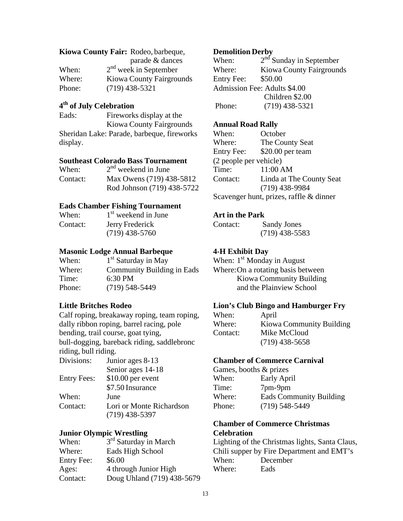#### **Kiowa County Fair:** Rodeo, barbeque,

|        | parade & dances                 |
|--------|---------------------------------|
| When:  | $2nd$ week in September         |
| Where: | <b>Kiowa County Fairgrounds</b> |
| Phone: | $(719)$ 438-5321                |

# **4 th of July Celebration**

Eads: Fireworks display at the Kiowa County Fairgrounds Sheridan Lake: Parade, barbeque, fireworks display.

#### **Southeast Colorado Bass Tournament**

| When:    | $2nd$ weekend in June      |
|----------|----------------------------|
| Contact: | Max Owens (719) 438-5812   |
|          | Rod Johnson (719) 438-5722 |

#### **Eads Chamber Fishing Tournament**

| When:    | 1 <sup>st</sup> weekend in June |
|----------|---------------------------------|
| Contact: | Jerry Frederick                 |
|          | $(719)$ 438-5760                |

## **Masonic Lodge Annual Barbeque**

| When:  | $1st$ Saturday in May      |
|--------|----------------------------|
| Where: | Community Building in Eads |
| Time:  | $6:30$ PM                  |
| Phone: | $(719)$ 548-5449           |

## **Little Britches Rodeo**

Calf roping, breakaway roping, team roping, dally ribbon roping, barrel racing, pole bending, trail course, goat tying, bull-dogging, bareback riding, saddlebronc riding, bull riding.

| Divisions:         | Junior ages 8-13         |
|--------------------|--------------------------|
|                    | Senior ages 14-18        |
| <b>Entry Fees:</b> | $$10.00$ per event       |
|                    | \$7.50 Insurance         |
| When:              | June                     |
| Contact:           | Lori or Monte Richardson |
|                    | $(719)$ 438-5397         |
|                    |                          |

## **Junior Olympic Wrestling**

| When:             | 3 <sup>rd</sup> Saturday in March |
|-------------------|-----------------------------------|
| Where:            | Eads High School                  |
| <b>Entry Fee:</b> | \$6.00                            |
| Ages:             | 4 through Junior High             |
| Contact:          | Doug Uhland (719) 438-5679        |

#### **Demolition Derby**

When:  $2<sup>nd</sup>$  Sunday in September Where: Kiowa County Fairgrounds Entry Fee: \$50.00 Admission Fee: Adults \$4.00 Children \$2.00 Phone: (719) 438-5321

#### **Annual Road Rally**

When: October Where: The County Seat Entry Fee: \$20.00 per team (2 people per vehicle) Time: 11:00 AM Contact: Linda at The County Seat (719) 438-9984 Scavenger hunt, prizes, raffle & dinner

## **Art in the Park**

Contact: Sandy Jones (719) 438-5583

## **4-H Exhibit Day**

When: 1<sup>st</sup> Monday in August Where:On a rotating basis between Kiowa Community Building and the Plainview School

#### **Lion's Club Bingo and Hamburger Fry**

| When:    | April                    |
|----------|--------------------------|
| Where:   | Kiowa Community Building |
| Contact: | Mike McCloud             |
|          | $(719)$ 438-5658         |

#### **Chamber of Commerce Carnival**

| Games, booths & prizes |                                |  |
|------------------------|--------------------------------|--|
| When:                  | Early April                    |  |
| Time:                  | 7pm-9pm                        |  |
| Where:                 | <b>Eads Community Building</b> |  |
| Phone:                 | $(719)$ 548-5449               |  |

# **Chamber of Commerce Christmas Celebration**

Lighting of the Christmas lights, Santa Claus, Chili supper by Fire Department and EMT's When: December Where: Eads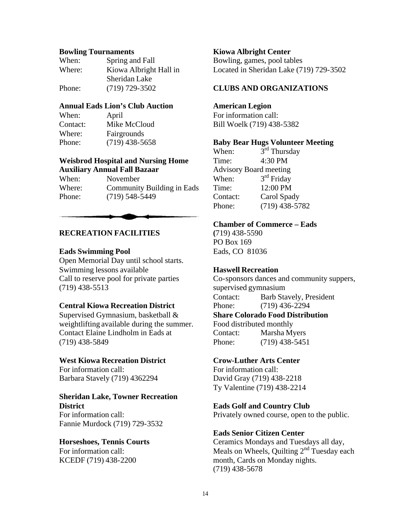#### **Bowling Tournaments**

| When:  | Spring and Fall        |
|--------|------------------------|
| Where: | Kiowa Albright Hall in |
|        | Sheridan Lake          |
| Phone: | $(719)$ 729-3502       |

# **Annual Eads Lion's Club Auction**

| When:    | April            |
|----------|------------------|
| Contact: | Mike McCloud     |
| Where:   | Fairgrounds      |
| Phone:   | $(719)$ 438-5658 |

# **Weisbrod Hospital and Nursing Home Auxiliary Annual Fall Bazaar**

| When:  | November                          |
|--------|-----------------------------------|
| Where: | <b>Community Building in Eads</b> |
| Phone: | $(719)$ 548-5449                  |

## **RECREATION FACILITIES**

#### **Eads Swimming Pool**

Open Memorial Day until school starts. Swimming lessons available Call to reserve pool for private parties (719) 438-5513

#### **Central Kiowa Recreation District**

Supervised Gymnasium, basketball & weightlifting available during the summer. Contact Elaine Lindholm in Eads at (719) 438-5849

#### **West Kiowa Recreation District**

For information call: Barbara Stavely (719) 4362294

# **Sheridan Lake, Towner Recreation District**

For information call: Fannie Murdock (719) 729-3532

# **Horseshoes, Tennis Courts**

For information call: KCEDF (719) 438-2200

#### **Kiowa Albright Center**

Bowling, games, pool tables Located in Sheridan Lake (719) 729-3502

# **CLUBS AND ORGANIZATIONS**

## **American Legion**

For information call: Bill Woelk (719) 438-5382

#### **Baby Bear Hugs Volunteer Meeting**

When:  $3<sup>rd</sup>$  Thursday Time: 4:30 PM Advisory Board meeting When:  $3<sup>rd</sup>$  Friday Time: 12:00 PM Contact: Carol Spady Phone: (719) 438-5782

#### **Chamber of Commerce – Eads**

**(**719) 438-5590 PO Box 169 Eads, CO 81036

## **Haswell Recreation**

Co-sponsors dances and community suppers, supervised gymnasium Contact: Barb Stavely, President Phone: (719) 436-2294 **Share Colorado Food Distribution** Food distributed monthly Contact: Marsha Myers Phone: (719) 438-5451

#### **Crow-Luther Arts Center**

For information call: David Gray (719) 438-2218 Ty Valentine (719) 438-2214

## **Eads Golf and Country Club**

Privately owned course, open to the public.

#### **Eads Senior Citizen Center**

Ceramics Mondays and Tuesdays all day, Meals on Wheels, Quilting  $2<sup>nd</sup>$  Tuesday each month, Cards on Monday nights. (719) 438-5678